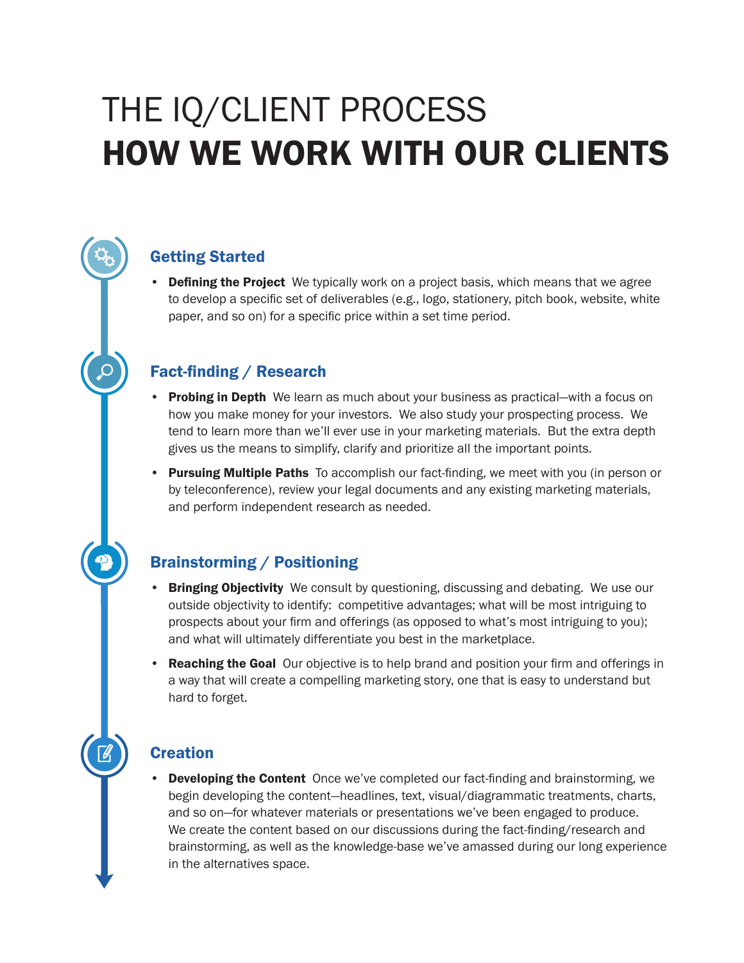# THE IQ/CLIENT PROCESS HOW WE WORK WITH OUR CLIENTS

## Getting Started

• Defining the Project We typically work on a project basis, which means that we agree to develop a specific set of deliverables (e.g., logo, stationery, pitch book, website, white paper, and so on) for a specific price within a set time period.

### Fact-finding / Research

- Probing in Depth We learn as much about your business as practical—with a focus on how you make money for your investors. We also study your prospecting process. We tend to learn more than we'll ever use in your marketing materials. But the extra depth gives us the means to simplify, clarify and prioritize all the important points.
- Pursuing Multiple Paths To accomplish our fact-finding, we meet with you (in person or by teleconference), review your legal documents and any existing marketing materials, and perform independent research as needed.

### Brainstorming / Positioning

- Bringing Objectivity We consult by questioning, discussing and debating. We use our outside objectivity to identify: competitive advantages; what will be most intriguing to prospects about your firm and offerings (as opposed to what's most intriguing to you); and what will ultimately differentiate you best in the marketplace.
- Reaching the Goal Our objective is to help brand and position your firm and offerings in a way that will create a compelling marketing story, one that is easy to understand but hard to forget.

### **Creation**

• Developing the Content Once we've completed our fact-finding and brainstorming, we begin developing the content—headlines, text, visual/diagrammatic treatments, charts, and so on—for whatever materials or presentations we've been engaged to produce. We create the content based on our discussions during the fact-finding/research and brainstorming, as well as the knowledge-base we've amassed during our long experience in the alternatives space.